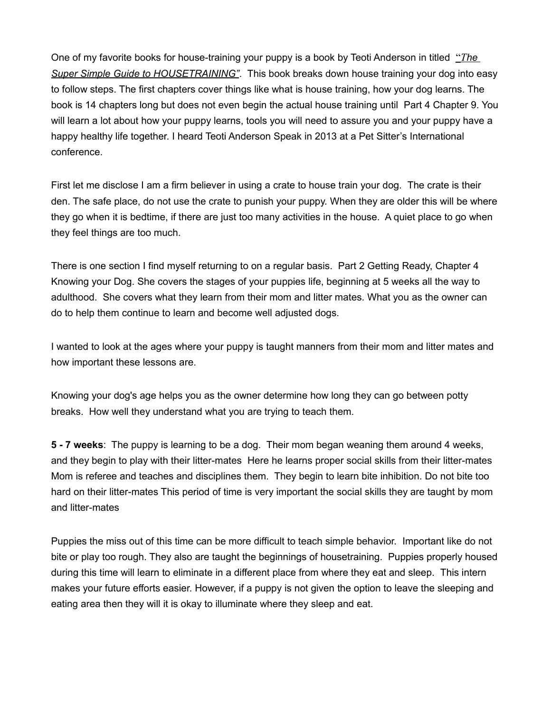One of my favorite books for house-training your puppy is a book by Teoti Anderson in titled "*The Super Simple Guide to HOUSETRAINING"*. This book breaks down house training your dog into easy to follow steps. The first chapters cover things like what is house training, how your dog learns. The book is 14 chapters long but does not even begin the actual house training until Part 4 Chapter 9. You will learn a lot about how your puppy learns, tools you will need to assure you and your puppy have a happy healthy life together. I heard Teoti Anderson Speak in 2013 at a Pet Sitter's International conference.

First let me disclose I am a firm believer in using a crate to house train your dog. The crate is their den. The safe place, do not use the crate to punish your puppy. When they are older this will be where they go when it is bedtime, if there are just too many activities in the house. A quiet place to go when they feel things are too much.

There is one section I find myself returning to on a regular basis. Part 2 Getting Ready, Chapter 4 Knowing your Dog. She covers the stages of your puppies life, beginning at 5 weeks all the way to adulthood. She covers what they learn from their mom and litter mates. What you as the owner can do to help them continue to learn and become well adjusted dogs.

I wanted to look at the ages where your puppy is taught manners from their mom and litter mates and how important these lessons are.

Knowing your dog's age helps you as the owner determine how long they can go between potty breaks. How well they understand what you are trying to teach them.

**5 - 7 weeks**: The puppy is learning to be a dog. Their mom began weaning them around 4 weeks, and they begin to play with their litter-mates Here he learns proper social skills from their litter-mates Mom is referee and teaches and disciplines them. They begin to learn bite inhibition. Do not bite too hard on their litter-mates This period of time is very important the social skills they are taught by mom and litter-mates

Puppies the miss out of this time can be more difficult to teach simple behavior. Important like do not bite or play too rough. They also are taught the beginnings of housetraining. Puppies properly housed during this time will learn to eliminate in a different place from where they eat and sleep. This intern makes your future efforts easier. However, if a puppy is not given the option to leave the sleeping and eating area then they will it is okay to illuminate where they sleep and eat.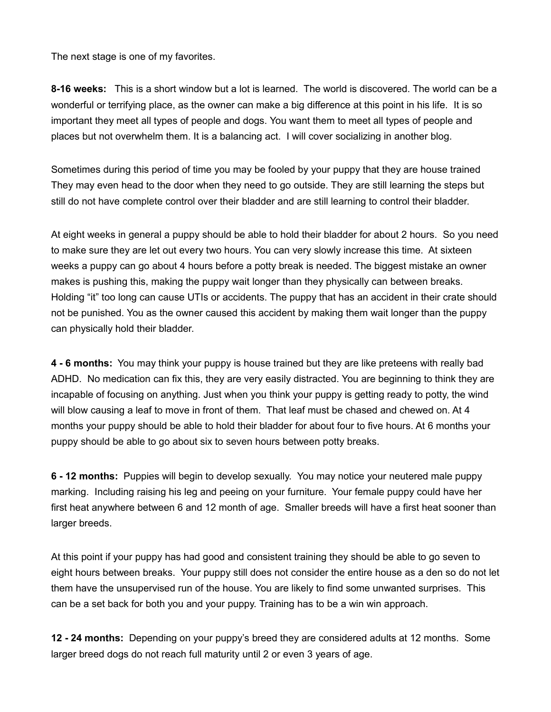The next stage is one of my favorites.

**8-16 weeks:** This is a short window but a lot is learned. The world is discovered. The world can be a wonderful or terrifying place, as the owner can make a big difference at this point in his life. It is so important they meet all types of people and dogs. You want them to meet all types of people and places but not overwhelm them. It is a balancing act. I will cover socializing in another blog.

Sometimes during this period of time you may be fooled by your puppy that they are house trained They may even head to the door when they need to go outside. They are still learning the steps but still do not have complete control over their bladder and are still learning to control their bladder.

At eight weeks in general a puppy should be able to hold their bladder for about 2 hours. So you need to make sure they are let out every two hours. You can very slowly increase this time. At sixteen weeks a puppy can go about 4 hours before a potty break is needed. The biggest mistake an owner makes is pushing this, making the puppy wait longer than they physically can between breaks. Holding "it" too long can cause UTIs or accidents. The puppy that has an accident in their crate should not be punished. You as the owner caused this accident by making them wait longer than the puppy can physically hold their bladder.

**4 - 6 months:** You may think your puppy is house trained but they are like preteens with really bad ADHD. No medication can fix this, they are very easily distracted. You are beginning to think they are incapable of focusing on anything. Just when you think your puppy is getting ready to potty, the wind will blow causing a leaf to move in front of them. That leaf must be chased and chewed on. At 4 months your puppy should be able to hold their bladder for about four to five hours. At 6 months your puppy should be able to go about six to seven hours between potty breaks.

**6 - 12 months:** Puppies will begin to develop sexually. You may notice your neutered male puppy marking. Including raising his leg and peeing on your furniture. Your female puppy could have her first heat anywhere between 6 and 12 month of age. Smaller breeds will have a first heat sooner than larger breeds.

At this point if your puppy has had good and consistent training they should be able to go seven to eight hours between breaks. Your puppy still does not consider the entire house as a den so do not let them have the unsupervised run of the house. You are likely to find some unwanted surprises. This can be a set back for both you and your puppy. Training has to be a win win approach.

**12 - 24 months:** Depending on your puppy's breed they are considered adults at 12 months. Some larger breed dogs do not reach full maturity until 2 or even 3 years of age.